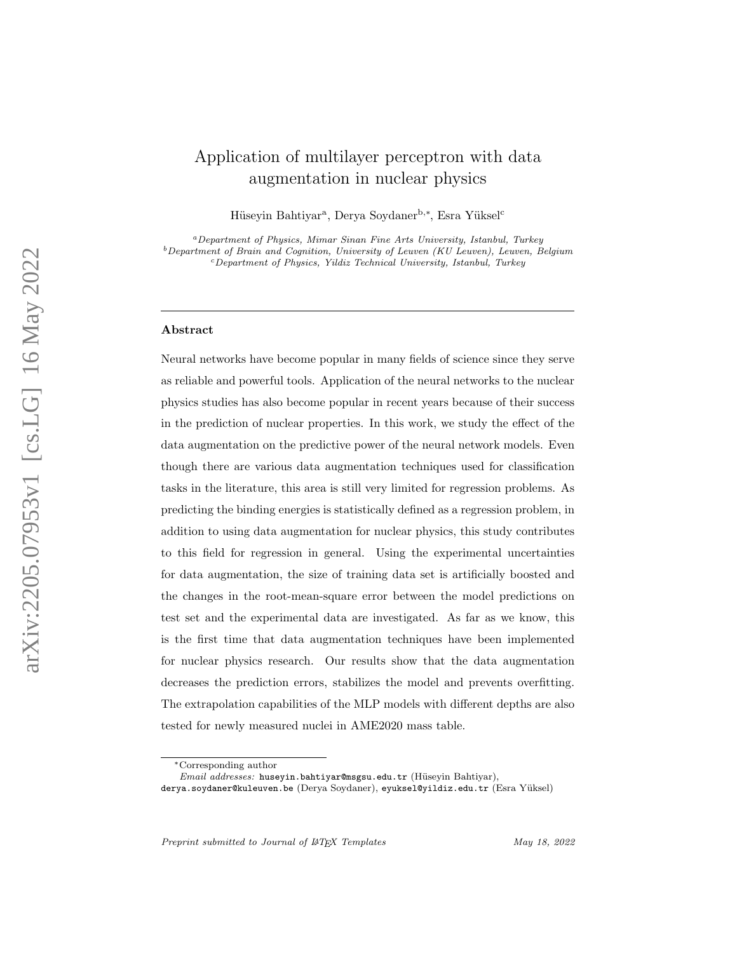# Application of multilayer perceptron with data augmentation in nuclear physics

Hüseyin Bahtiyar<sup>a</sup>, Derya Soydaner<sup>b,∗</sup>, Esra Yüksel<sup>c</sup>

<sup>a</sup>Department of Physics, Mimar Sinan Fine Arts University, Istanbul, Turkey  $b$ Department of Brain and Cognition, University of Leuven (KU Leuven), Leuven, Belgium <sup>c</sup>Department of Physics, Yildiz Technical University, Istanbul, Turkey

#### Abstract

Neural networks have become popular in many fields of science since they serve as reliable and powerful tools. Application of the neural networks to the nuclear physics studies has also become popular in recent years because of their success in the prediction of nuclear properties. In this work, we study the effect of the data augmentation on the predictive power of the neural network models. Even though there are various data augmentation techniques used for classification tasks in the literature, this area is still very limited for regression problems. As predicting the binding energies is statistically defined as a regression problem, in addition to using data augmentation for nuclear physics, this study contributes to this field for regression in general. Using the experimental uncertainties for data augmentation, the size of training data set is artificially boosted and the changes in the root-mean-square error between the model predictions on test set and the experimental data are investigated. As far as we know, this is the first time that data augmentation techniques have been implemented for nuclear physics research. Our results show that the data augmentation decreases the prediction errors, stabilizes the model and prevents overfitting. The extrapolation capabilities of the MLP models with different depths are also tested for newly measured nuclei in AME2020 mass table.

Preprint submitted to Journal of LATEX Templates May 18, 2022

<sup>∗</sup>Corresponding author

Email addresses: huseyin.bahtiyar@msgsu.edu.tr (Hüseyin Bahtiyar),

derya.soydaner@kuleuven.be (Derya Soydaner), eyuksel@yildiz.edu.tr (Esra Y¨uksel)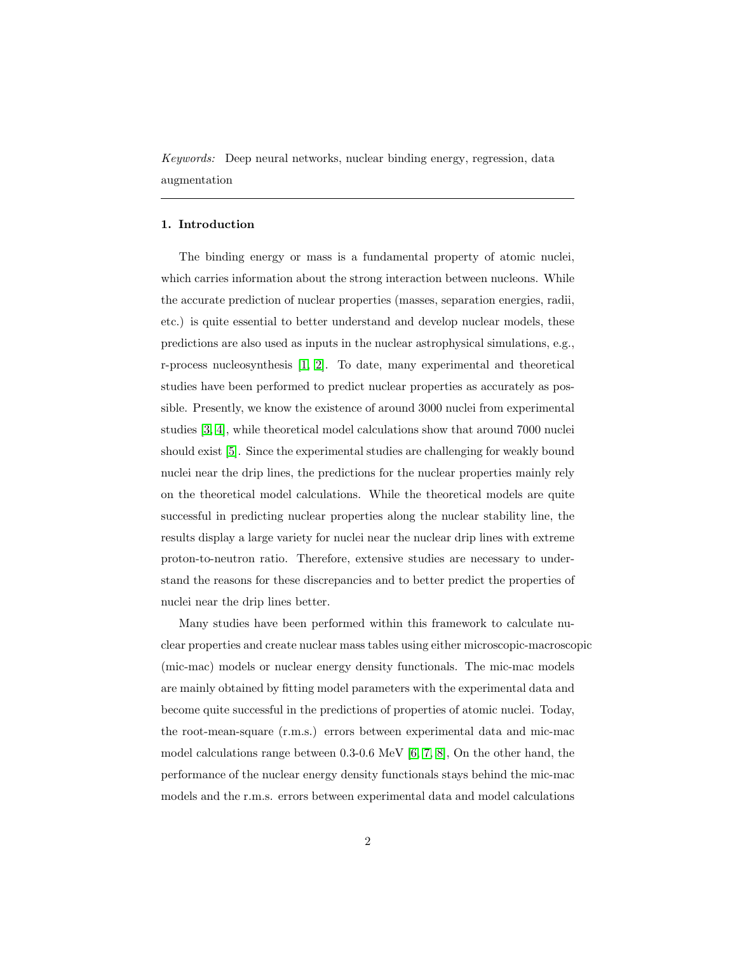Keywords: Deep neural networks, nuclear binding energy, regression, data augmentation

## 1. Introduction

The binding energy or mass is a fundamental property of atomic nuclei, which carries information about the strong interaction between nucleons. While the accurate prediction of nuclear properties (masses, separation energies, radii, etc.) is quite essential to better understand and develop nuclear models, these predictions are also used as inputs in the nuclear astrophysical simulations, e.g., r-process nucleosynthesis [\[1,](#page-20-0) [2\]](#page-20-1). To date, many experimental and theoretical studies have been performed to predict nuclear properties as accurately as possible. Presently, we know the existence of around 3000 nuclei from experimental studies [\[3,](#page-20-2) [4\]](#page-21-0), while theoretical model calculations show that around 7000 nuclei should exist [\[5\]](#page-21-1). Since the experimental studies are challenging for weakly bound nuclei near the drip lines, the predictions for the nuclear properties mainly rely on the theoretical model calculations. While the theoretical models are quite successful in predicting nuclear properties along the nuclear stability line, the results display a large variety for nuclei near the nuclear drip lines with extreme proton-to-neutron ratio. Therefore, extensive studies are necessary to understand the reasons for these discrepancies and to better predict the properties of nuclei near the drip lines better.

Many studies have been performed within this framework to calculate nuclear properties and create nuclear mass tables using either microscopic-macroscopic (mic-mac) models or nuclear energy density functionals. The mic-mac models are mainly obtained by fitting model parameters with the experimental data and become quite successful in the predictions of properties of atomic nuclei. Today, the root-mean-square (r.m.s.) errors between experimental data and mic-mac model calculations range between 0.3-0.6 MeV [\[6,](#page-21-2) [7,](#page-21-3) [8\]](#page-21-4), On the other hand, the performance of the nuclear energy density functionals stays behind the mic-mac models and the r.m.s. errors between experimental data and model calculations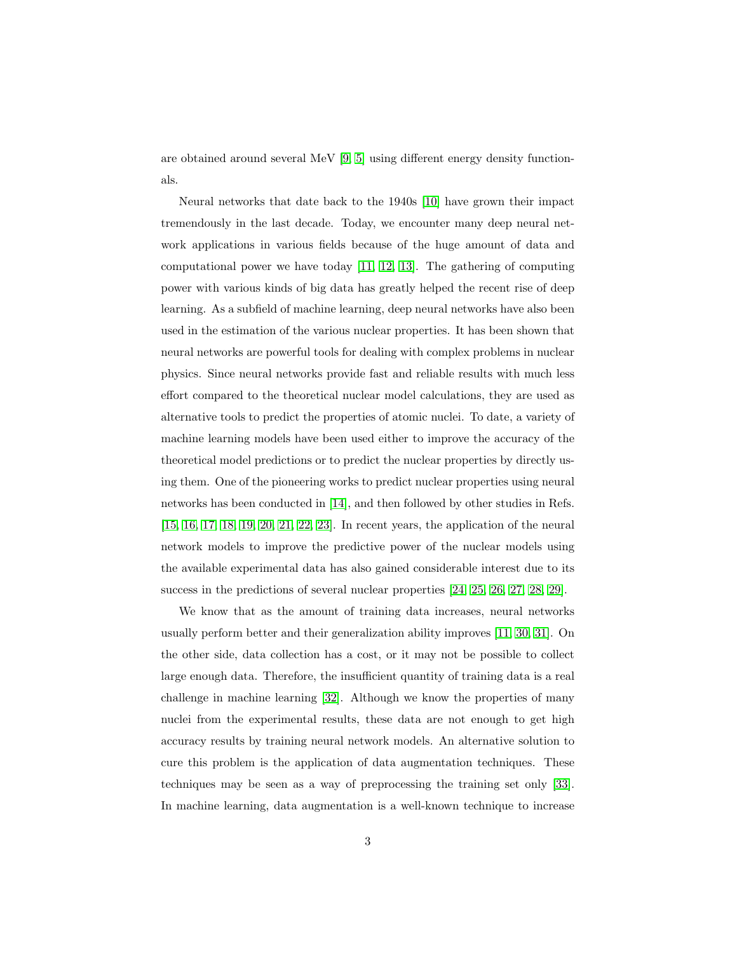are obtained around several MeV [\[9,](#page-21-5) [5\]](#page-21-1) using different energy density functionals.

Neural networks that date back to the 1940s [\[10\]](#page-21-6) have grown their impact tremendously in the last decade. Today, we encounter many deep neural network applications in various fields because of the huge amount of data and computational power we have today [\[11,](#page-21-7) [12,](#page-21-8) [13\]](#page-21-9). The gathering of computing power with various kinds of big data has greatly helped the recent rise of deep learning. As a subfield of machine learning, deep neural networks have also been used in the estimation of the various nuclear properties. It has been shown that neural networks are powerful tools for dealing with complex problems in nuclear physics. Since neural networks provide fast and reliable results with much less effort compared to the theoretical nuclear model calculations, they are used as alternative tools to predict the properties of atomic nuclei. To date, a variety of machine learning models have been used either to improve the accuracy of the theoretical model predictions or to predict the nuclear properties by directly using them. One of the pioneering works to predict nuclear properties using neural networks has been conducted in [\[14\]](#page-22-0), and then followed by other studies in Refs. [\[15,](#page-22-1) [16,](#page-22-2) [17,](#page-22-3) [18,](#page-22-4) [19,](#page-22-5) [20,](#page-22-6) [21,](#page-22-7) [22,](#page-22-8) [23\]](#page-22-9). In recent years, the application of the neural network models to improve the predictive power of the nuclear models using the available experimental data has also gained considerable interest due to its success in the predictions of several nuclear properties [\[24,](#page-23-0) [25,](#page-23-1) [26,](#page-23-2) [27,](#page-23-3) [28,](#page-23-4) [29\]](#page-23-5).

We know that as the amount of training data increases, neural networks usually perform better and their generalization ability improves [\[11,](#page-21-7) [30,](#page-23-6) [31\]](#page-23-7). On the other side, data collection has a cost, or it may not be possible to collect large enough data. Therefore, the insufficient quantity of training data is a real challenge in machine learning [\[32\]](#page-23-8). Although we know the properties of many nuclei from the experimental results, these data are not enough to get high accuracy results by training neural network models. An alternative solution to cure this problem is the application of data augmentation techniques. These techniques may be seen as a way of preprocessing the training set only [\[33\]](#page-23-9). In machine learning, data augmentation is a well-known technique to increase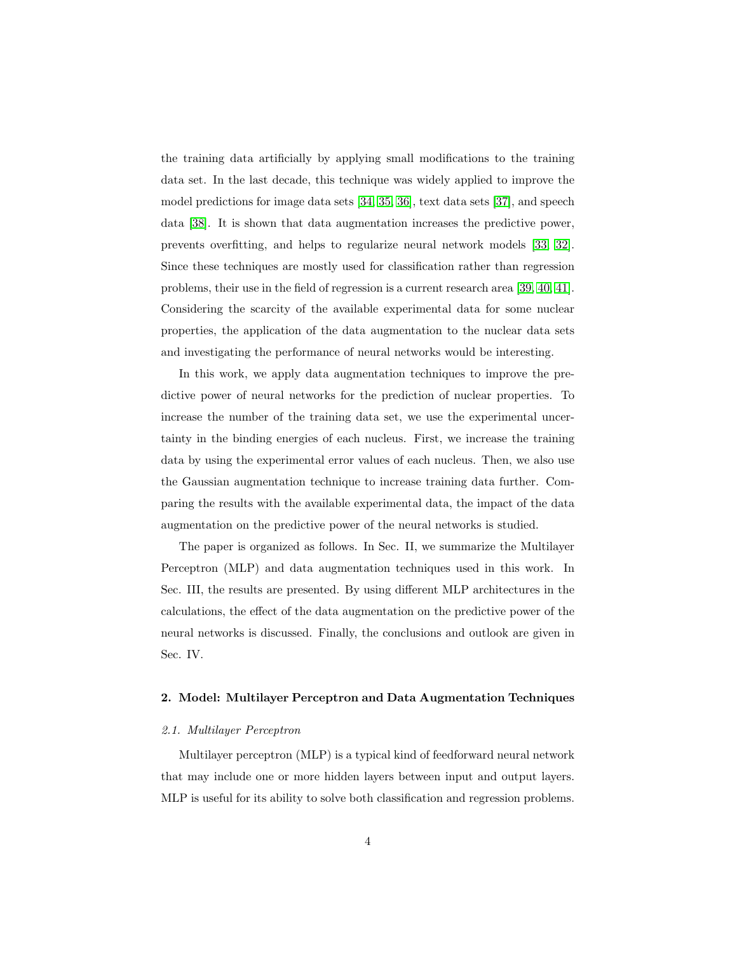the training data artificially by applying small modifications to the training data set. In the last decade, this technique was widely applied to improve the model predictions for image data sets [\[34,](#page-24-0) [35,](#page-24-1) [36\]](#page-24-2), text data sets [\[37\]](#page-24-3), and speech data [\[38\]](#page-24-4). It is shown that data augmentation increases the predictive power, prevents overfitting, and helps to regularize neural network models [\[33,](#page-23-9) [32\]](#page-23-8). Since these techniques are mostly used for classification rather than regression problems, their use in the field of regression is a current research area [\[39,](#page-24-5) [40,](#page-24-6) [41\]](#page-24-7). Considering the scarcity of the available experimental data for some nuclear properties, the application of the data augmentation to the nuclear data sets and investigating the performance of neural networks would be interesting.

In this work, we apply data augmentation techniques to improve the predictive power of neural networks for the prediction of nuclear properties. To increase the number of the training data set, we use the experimental uncertainty in the binding energies of each nucleus. First, we increase the training data by using the experimental error values of each nucleus. Then, we also use the Gaussian augmentation technique to increase training data further. Comparing the results with the available experimental data, the impact of the data augmentation on the predictive power of the neural networks is studied.

The paper is organized as follows. In Sec. II, we summarize the Multilayer Perceptron (MLP) and data augmentation techniques used in this work. In Sec. III, the results are presented. By using different MLP architectures in the calculations, the effect of the data augmentation on the predictive power of the neural networks is discussed. Finally, the conclusions and outlook are given in Sec. IV.

## 2. Model: Multilayer Perceptron and Data Augmentation Techniques

#### 2.1. Multilayer Perceptron

Multilayer perceptron (MLP) is a typical kind of feedforward neural network that may include one or more hidden layers between input and output layers. MLP is useful for its ability to solve both classification and regression problems.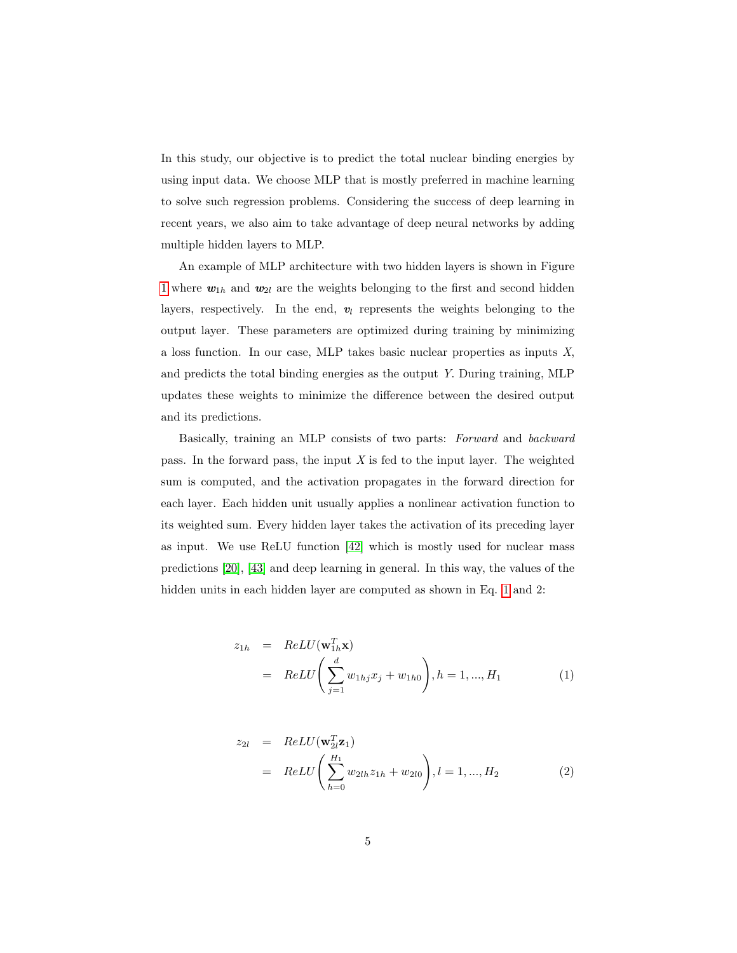In this study, our objective is to predict the total nuclear binding energies by using input data. We choose MLP that is mostly preferred in machine learning to solve such regression problems. Considering the success of deep learning in recent years, we also aim to take advantage of deep neural networks by adding multiple hidden layers to MLP.

An example of MLP architecture with two hidden layers is shown in Figure [1](#page-5-0) where  $w_{1h}$  and  $w_{2l}$  are the weights belonging to the first and second hidden layers, respectively. In the end,  $v_l$  represents the weights belonging to the output layer. These parameters are optimized during training by minimizing a loss function. In our case, MLP takes basic nuclear properties as inputs X, and predicts the total binding energies as the output Y. During training, MLP updates these weights to minimize the difference between the desired output and its predictions.

Basically, training an MLP consists of two parts: Forward and backward pass. In the forward pass, the input  $X$  is fed to the input layer. The weighted sum is computed, and the activation propagates in the forward direction for each layer. Each hidden unit usually applies a nonlinear activation function to its weighted sum. Every hidden layer takes the activation of its preceding layer as input. We use ReLU function [\[42\]](#page-24-8) which is mostly used for nuclear mass predictions [\[20\]](#page-22-6), [\[43\]](#page-25-0) and deep learning in general. In this way, the values of the hidden units in each hidden layer are computed as shown in Eq. [1](#page-4-0) and 2:

<span id="page-4-0"></span>
$$
z_{1h} = ReLU(\mathbf{w}_{1h}^T \mathbf{x})
$$
  
=  $ReLU\left(\sum_{j=1}^d w_{1hj} x_j + w_{1h0}\right), h = 1, ..., H_1$  (1)

$$
z_{2l} = ReLU(\mathbf{w}_{2l}^{T} \mathbf{z}_{1})
$$
  
= ReLU $\left(\sum_{h=0}^{H_{1}} w_{2lh} z_{1h} + w_{2l0}\right), l = 1, ..., H_{2}$  (2)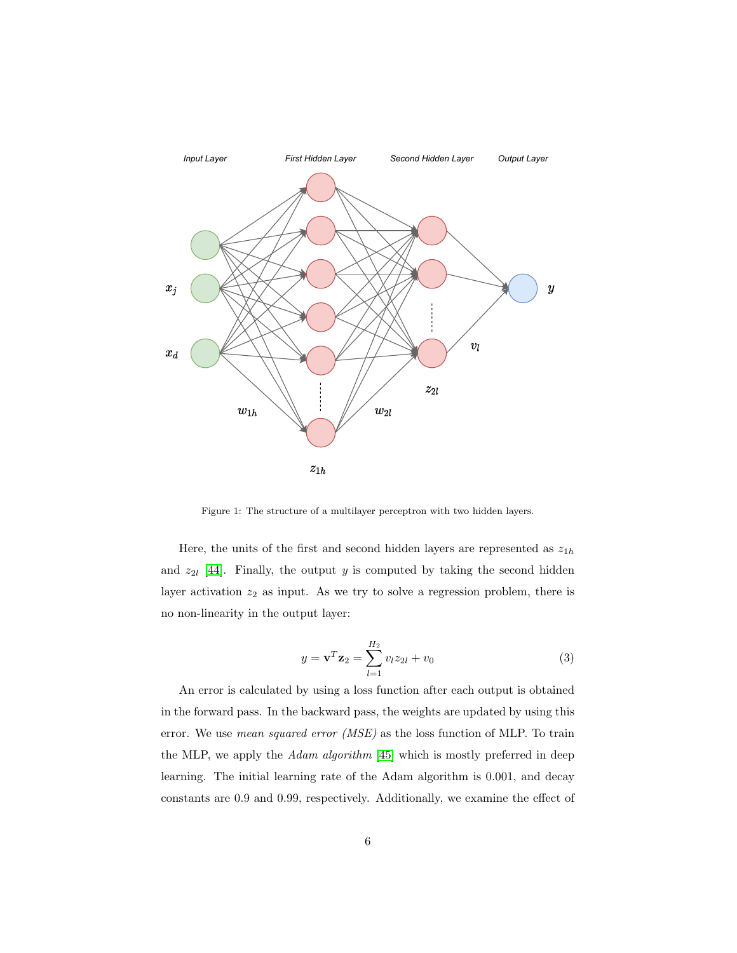

<span id="page-5-0"></span>Figure 1: The structure of a multilayer perceptron with two hidden layers.

Here, the units of the first and second hidden layers are represented as  $z_{1h}$ and  $z_{2l}$  [\[44\]](#page-25-1). Finally, the output y is computed by taking the second hidden layer activation  $z_2$  as input. As we try to solve a regression problem, there is no non-linearity in the output layer:

$$
y = \mathbf{v}^T \mathbf{z}_2 = \sum_{l=1}^{H_2} v_l z_{2l} + v_0 \tag{3}
$$

An error is calculated by using a loss function after each output is obtained in the forward pass. In the backward pass, the weights are updated by using this error. We use *mean squared error* (*MSE*) as the loss function of MLP. To train the MLP, we apply the *Adam algorithm* [\[45\]](#page-25-2) which is mostly preferred in deep learning. The initial learning rate of the Adam algorithm is 0.001, and decay constants are 0.9 and 0.99, respectively. Additionally, we examine the effect of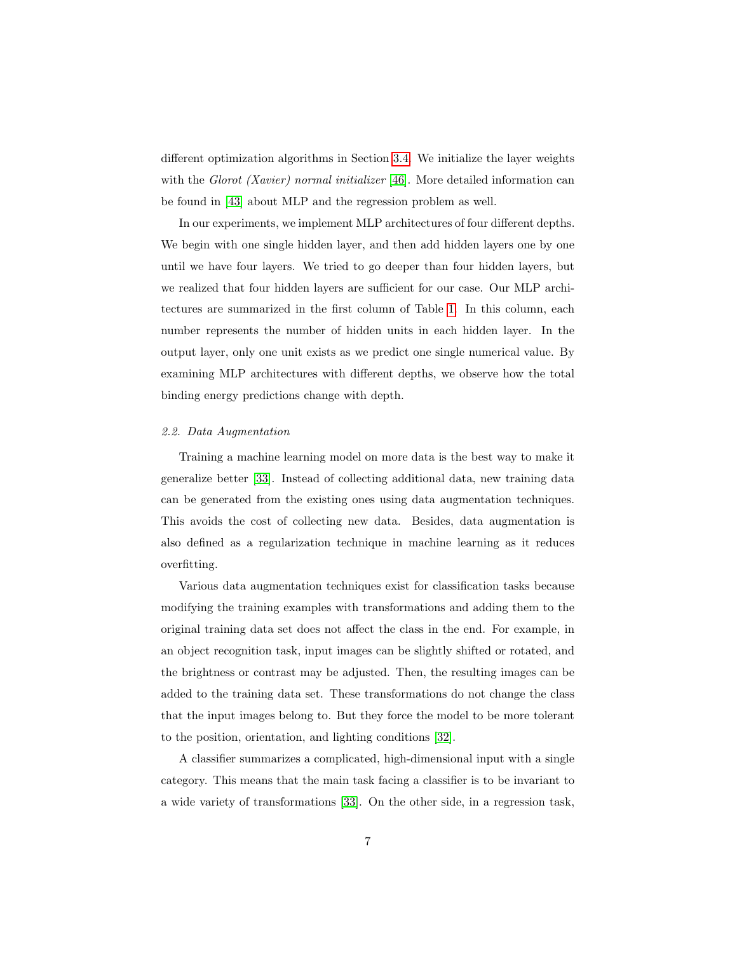different optimization algorithms in Section [3.4.](#page-16-0) We initialize the layer weights with the Glorot (Xavier) normal initializer [\[46\]](#page-25-3). More detailed information can be found in [\[43\]](#page-25-0) about MLP and the regression problem as well.

In our experiments, we implement MLP architectures of four different depths. We begin with one single hidden layer, and then add hidden layers one by one until we have four layers. We tried to go deeper than four hidden layers, but we realized that four hidden layers are sufficient for our case. Our MLP architectures are summarized in the first column of Table [1.](#page-10-0) In this column, each number represents the number of hidden units in each hidden layer. In the output layer, only one unit exists as we predict one single numerical value. By examining MLP architectures with different depths, we observe how the total binding energy predictions change with depth.

## 2.2. Data Augmentation

Training a machine learning model on more data is the best way to make it generalize better [\[33\]](#page-23-9). Instead of collecting additional data, new training data can be generated from the existing ones using data augmentation techniques. This avoids the cost of collecting new data. Besides, data augmentation is also defined as a regularization technique in machine learning as it reduces overfitting.

Various data augmentation techniques exist for classification tasks because modifying the training examples with transformations and adding them to the original training data set does not affect the class in the end. For example, in an object recognition task, input images can be slightly shifted or rotated, and the brightness or contrast may be adjusted. Then, the resulting images can be added to the training data set. These transformations do not change the class that the input images belong to. But they force the model to be more tolerant to the position, orientation, and lighting conditions [\[32\]](#page-23-8).

A classifier summarizes a complicated, high-dimensional input with a single category. This means that the main task facing a classifier is to be invariant to a wide variety of transformations [\[33\]](#page-23-9). On the other side, in a regression task,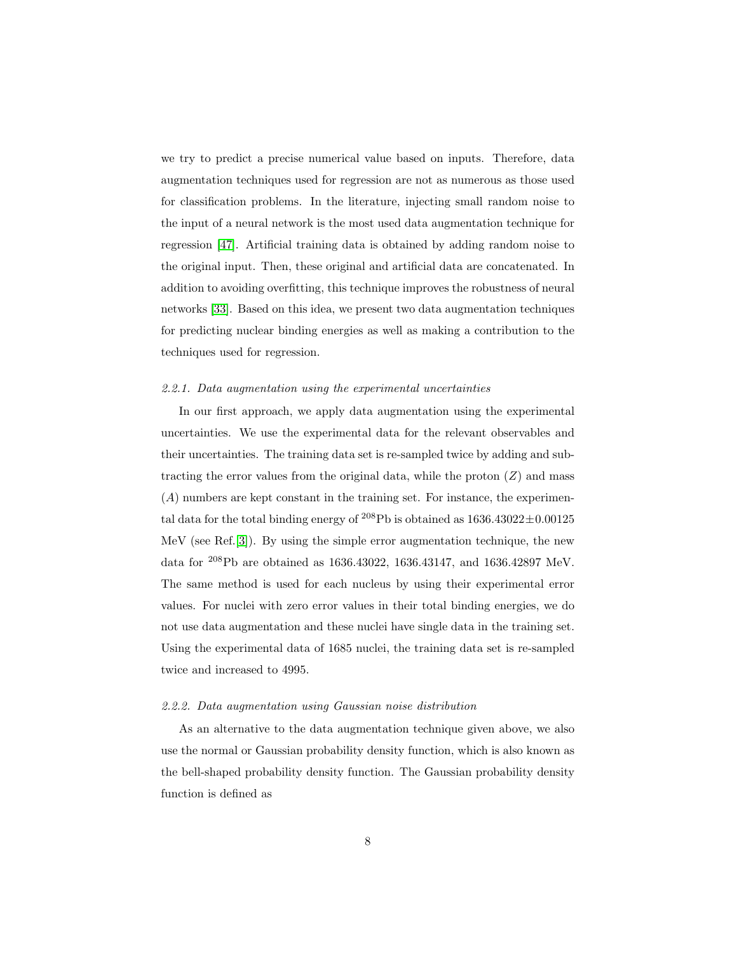we try to predict a precise numerical value based on inputs. Therefore, data augmentation techniques used for regression are not as numerous as those used for classification problems. In the literature, injecting small random noise to the input of a neural network is the most used data augmentation technique for regression [\[47\]](#page-25-4). Artificial training data is obtained by adding random noise to the original input. Then, these original and artificial data are concatenated. In addition to avoiding overfitting, this technique improves the robustness of neural networks [\[33\]](#page-23-9). Based on this idea, we present two data augmentation techniques for predicting nuclear binding energies as well as making a contribution to the techniques used for regression.

## 2.2.1. Data augmentation using the experimental uncertainties

In our first approach, we apply data augmentation using the experimental uncertainties. We use the experimental data for the relevant observables and their uncertainties. The training data set is re-sampled twice by adding and subtracting the error values from the original data, while the proton  $(Z)$  and mass (A) numbers are kept constant in the training set. For instance, the experimental data for the total binding energy of <sup>208</sup>Pb is obtained as  $1636.43022\pm0.00125$ MeV (see Ref.[\[3\]](#page-20-2)). By using the simple error augmentation technique, the new data for <sup>208</sup>Pb are obtained as 1636.43022, 1636.43147, and 1636.42897 MeV. The same method is used for each nucleus by using their experimental error values. For nuclei with zero error values in their total binding energies, we do not use data augmentation and these nuclei have single data in the training set. Using the experimental data of 1685 nuclei, the training data set is re-sampled twice and increased to 4995.

## <span id="page-7-0"></span>2.2.2. Data augmentation using Gaussian noise distribution

As an alternative to the data augmentation technique given above, we also use the normal or Gaussian probability density function, which is also known as the bell-shaped probability density function. The Gaussian probability density function is defined as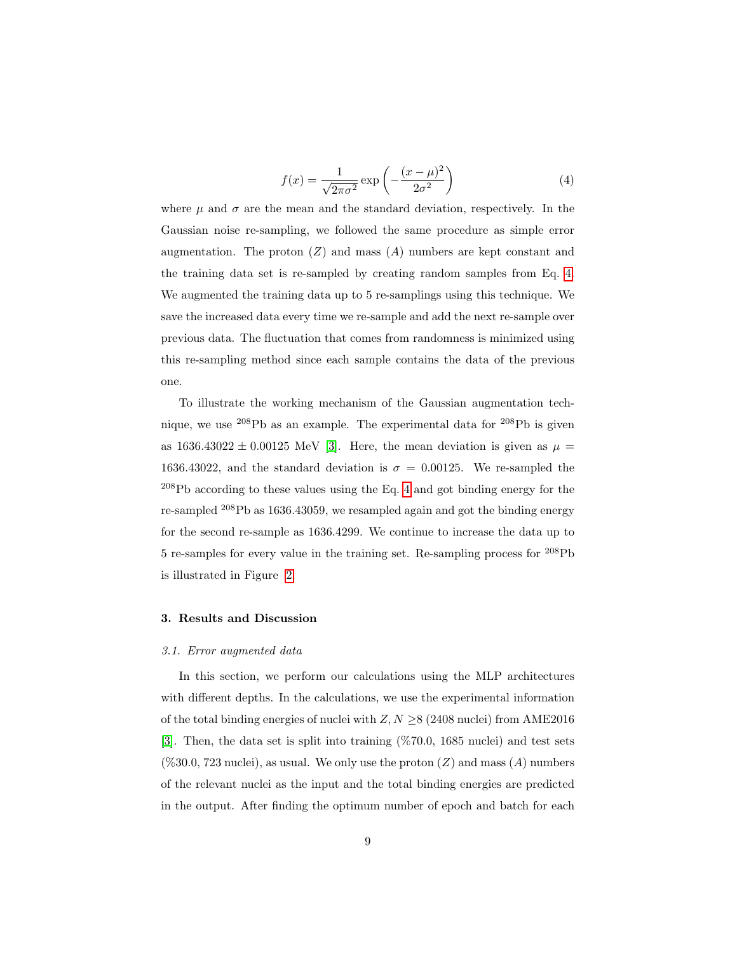<span id="page-8-0"></span>
$$
f(x) = \frac{1}{\sqrt{2\pi\sigma^2}} \exp\left(-\frac{(x-\mu)^2}{2\sigma^2}\right)
$$
 (4)

where  $\mu$  and  $\sigma$  are the mean and the standard deviation, respectively. In the Gaussian noise re-sampling, we followed the same procedure as simple error augmentation. The proton  $(Z)$  and mass  $(A)$  numbers are kept constant and the training data set is re-sampled by creating random samples from Eq. [4.](#page-8-0) We augmented the training data up to 5 re-samplings using this technique. We save the increased data every time we re-sample and add the next re-sample over previous data. The fluctuation that comes from randomness is minimized using this re-sampling method since each sample contains the data of the previous one.

To illustrate the working mechanism of the Gaussian augmentation technique, we use <sup>208</sup>Pb as an example. The experimental data for <sup>208</sup>Pb is given as 1636.43022  $\pm$  0.00125 MeV [\[3\]](#page-20-2). Here, the mean deviation is given as  $\mu$  = 1636.43022, and the standard deviation is  $\sigma = 0.00125$ . We re-sampled the  $^{208}{\rm Pb}$  according to these values using the Eq. [4](#page-8-0) and got binding energy for the re-sampled <sup>208</sup>Pb as 1636.43059, we resampled again and got the binding energy for the second re-sample as 1636.4299. We continue to increase the data up to 5 re-samples for every value in the training set. Re-sampling process for <sup>208</sup>Pb is illustrated in Figure [2.](#page-9-0)

#### 3. Results and Discussion

#### 3.1. Error augmented data

In this section, we perform our calculations using the MLP architectures with different depths. In the calculations, we use the experimental information of the total binding energies of nuclei with  $Z, N \geq 8$  (2408 nuclei) from AME2016 [\[3\]](#page-20-2). Then, the data set is split into training (%70.0, 1685 nuclei) and test sets  $(\%30.0, 723 \text{ nuclei})$ , as usual. We only use the proton  $(Z)$  and mass  $(A)$  numbers of the relevant nuclei as the input and the total binding energies are predicted in the output. After finding the optimum number of epoch and batch for each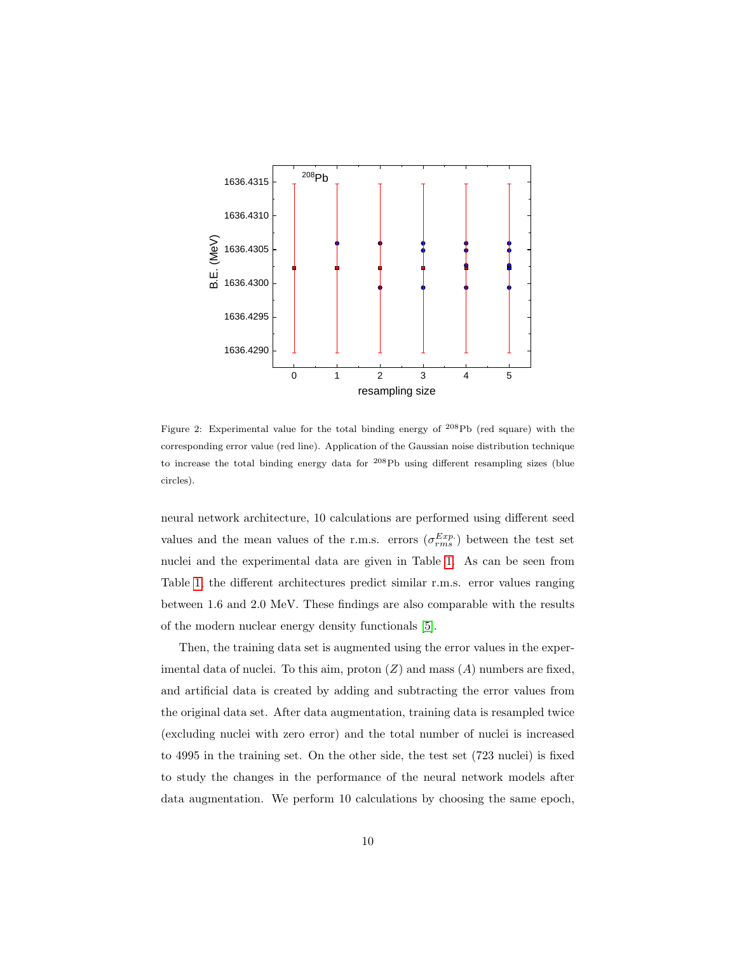

<span id="page-9-0"></span>Figure 2: Experimental value for the total binding energy of <sup>208</sup>Pb (red square) with the corresponding error value (red line). Application of the Gaussian noise distribution technique to increase the total binding energy data for <sup>208</sup>Pb using different resampling sizes (blue circles).

neural network architecture, 10 calculations are performed using different seed values and the mean values of the r.m.s. errors  $(\sigma_{rms}^{Exp.})$  between the test set nuclei and the experimental data are given in Table [1.](#page-10-0) As can be seen from Table [1,](#page-10-0) the different architectures predict similar r.m.s. error values ranging between 1.6 and 2.0 MeV. These findings are also comparable with the results of the modern nuclear energy density functionals [\[5\]](#page-21-1).

Then, the training data set is augmented using the error values in the experimental data of nuclei. To this aim, proton  $(Z)$  and mass  $(A)$  numbers are fixed, and artificial data is created by adding and subtracting the error values from the original data set. After data augmentation, training data is resampled twice (excluding nuclei with zero error) and the total number of nuclei is increased to 4995 in the training set. On the other side, the test set (723 nuclei) is fixed to study the changes in the performance of the neural network models after data augmentation. We perform 10 calculations by choosing the same epoch,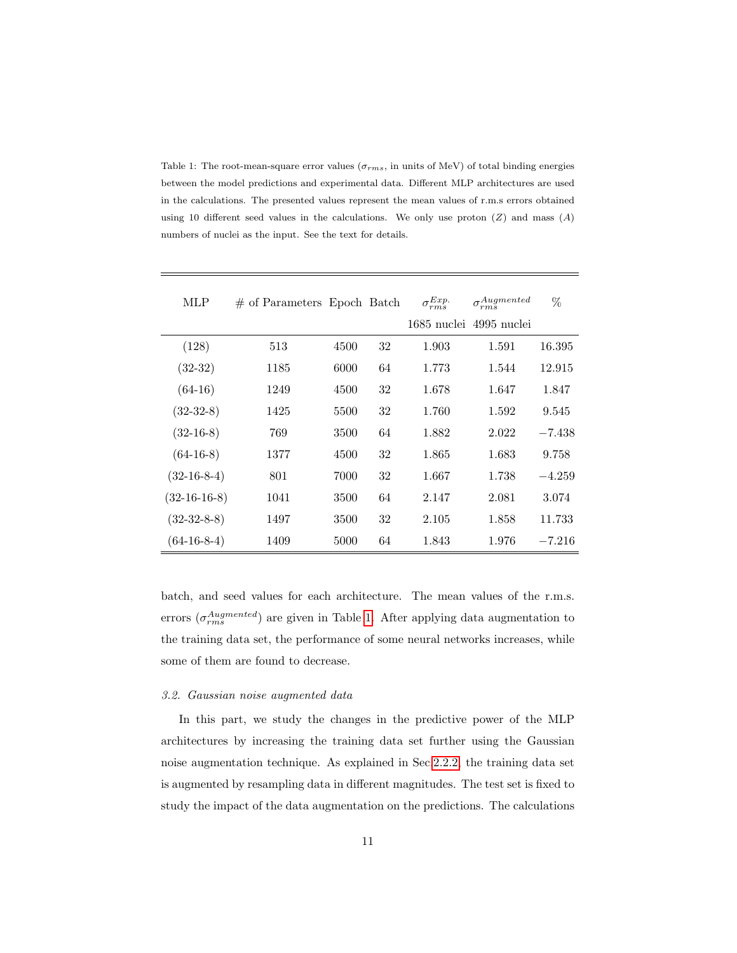<span id="page-10-0"></span>Table 1: The root-mean-square error values ( $\sigma_{rms}$ , in units of MeV) of total binding energies between the model predictions and experimental data. Different MLP architectures are used in the calculations. The presented values represent the mean values of r.m.s errors obtained using 10 different seed values in the calculations. We only use proton  $(Z)$  and mass  $(A)$ numbers of nuclei as the input. See the text for details.

| MLP            | # of Parameters Epoch Batch |      |    | $\sigma_{rms}^{Exp.}$ | $\sigma_{rms}^{Augmented}$ | %        |
|----------------|-----------------------------|------|----|-----------------------|----------------------------|----------|
|                |                             |      |    |                       | 1685 nuclei 4995 nuclei    |          |
| (128)          | 513                         | 4500 | 32 | 1.903                 | 1.591                      | 16.395   |
| $(32-32)$      | 1185                        | 6000 | 64 | 1.773                 | 1.544                      | 12.915   |
| $(64-16)$      | 1249                        | 4500 | 32 | 1.678                 | 1.647                      | 1.847    |
| $(32-32-8)$    | 1425                        | 5500 | 32 | 1.760                 | 1.592                      | 9.545    |
| $(32-16-8)$    | 769                         | 3500 | 64 | 1.882                 | 2.022                      | $-7.438$ |
| $(64-16-8)$    | 1377                        | 4500 | 32 | 1.865                 | 1.683                      | 9.758    |
| $(32-16-8-4)$  | 801                         | 7000 | 32 | 1.667                 | 1.738                      | $-4.259$ |
| $(32-16-16-8)$ | 1041                        | 3500 | 64 | 2.147                 | 2.081                      | 3.074    |
| $(32-32-8-8)$  | 1497                        | 3500 | 32 | 2.105                 | 1.858                      | 11.733   |
| $(64-16-8-4)$  | 1409                        | 5000 | 64 | 1.843                 | 1.976                      | $-7.216$ |

batch, and seed values for each architecture. The mean values of the r.m.s. errors  $(\sigma_{rms}^{Augmented})$  are given in Table [1.](#page-10-0) After applying data augmentation to the training data set, the performance of some neural networks increases, while some of them are found to decrease.

#### 3.2. Gaussian noise augmented data

In this part, we study the changes in the predictive power of the MLP architectures by increasing the training data set further using the Gaussian noise augmentation technique. As explained in Sec[.2.2.2,](#page-7-0) the training data set is augmented by resampling data in different magnitudes. The test set is fixed to study the impact of the data augmentation on the predictions. The calculations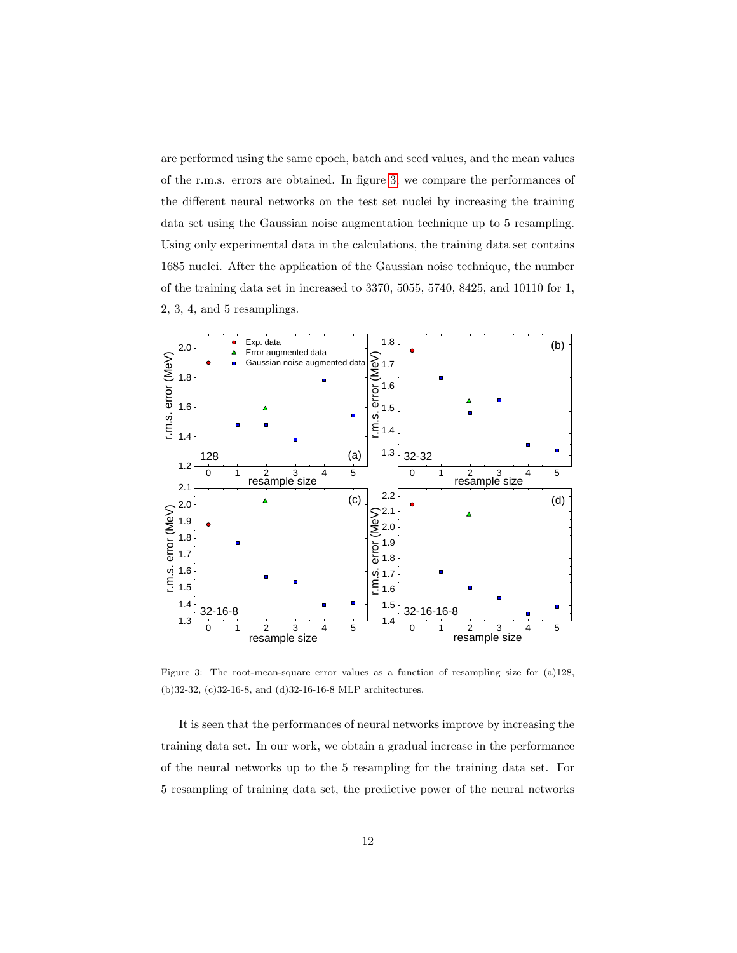are performed using the same epoch, batch and seed values, and the mean values of the r.m.s. errors are obtained. In figure [3,](#page-11-0) we compare the performances of the different neural networks on the test set nuclei by increasing the training data set using the Gaussian noise augmentation technique up to 5 resampling. Using only experimental data in the calculations, the training data set contains 1685 nuclei. After the application of the Gaussian noise technique, the number of the training data set in increased to 3370, 5055, 5740, 8425, and 10110 for 1, 2, 3, 4, and 5 resamplings.



<span id="page-11-0"></span>Figure 3: The root-mean-square error values as a function of resampling size for (a)128, (b)32-32, (c)32-16-8, and (d)32-16-16-8 MLP architectures.

It is seen that the performances of neural networks improve by increasing the training data set. In our work, we obtain a gradual increase in the performance of the neural networks up to the 5 resampling for the training data set. For 5 resampling of training data set, the predictive power of the neural networks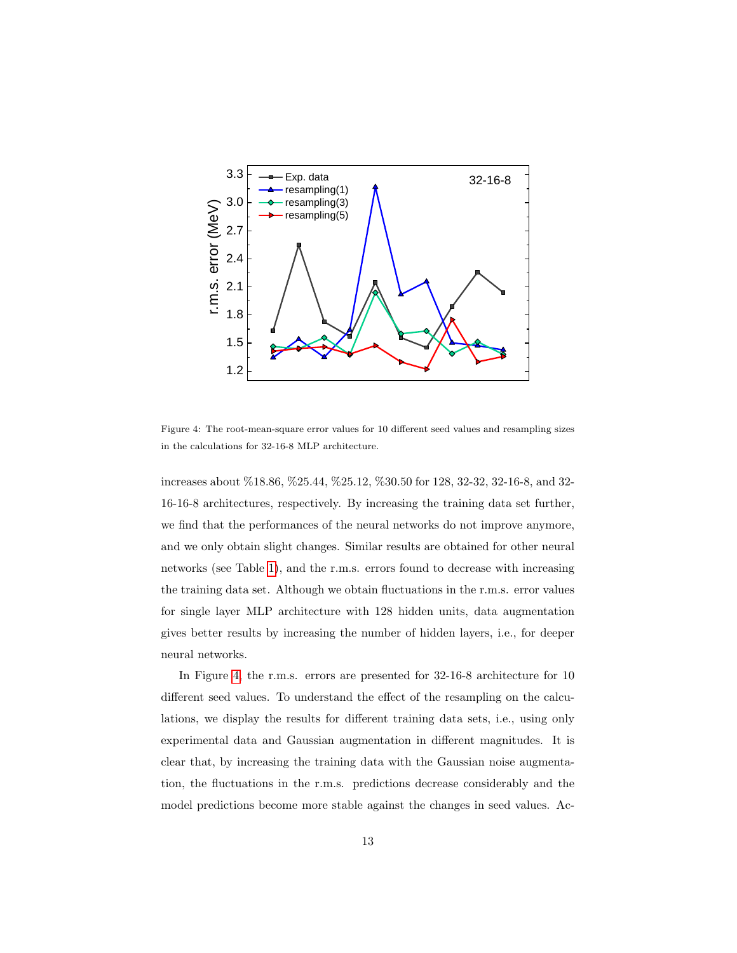

<span id="page-12-0"></span>Figure 4: The root-mean-square error values for 10 different seed values and resampling sizes in the calculations for 32-16-8 MLP architecture.

increases about %18.86, %25.44, %25.12, %30.50 for 128, 32-32, 32-16-8, and 32- 16-16-8 architectures, respectively. By increasing the training data set further, we find that the performances of the neural networks do not improve anymore, and we only obtain slight changes. Similar results are obtained for other neural networks (see Table [1\)](#page-10-0), and the r.m.s. errors found to decrease with increasing the training data set. Although we obtain fluctuations in the r.m.s. error values for single layer MLP architecture with 128 hidden units, data augmentation gives better results by increasing the number of hidden layers, i.e., for deeper neural networks.

In Figure [4,](#page-12-0) the r.m.s. errors are presented for 32-16-8 architecture for 10 different seed values. To understand the effect of the resampling on the calculations, we display the results for different training data sets, i.e., using only experimental data and Gaussian augmentation in different magnitudes. It is clear that, by increasing the training data with the Gaussian noise augmentation, the fluctuations in the r.m.s. predictions decrease considerably and the model predictions become more stable against the changes in seed values. Ac-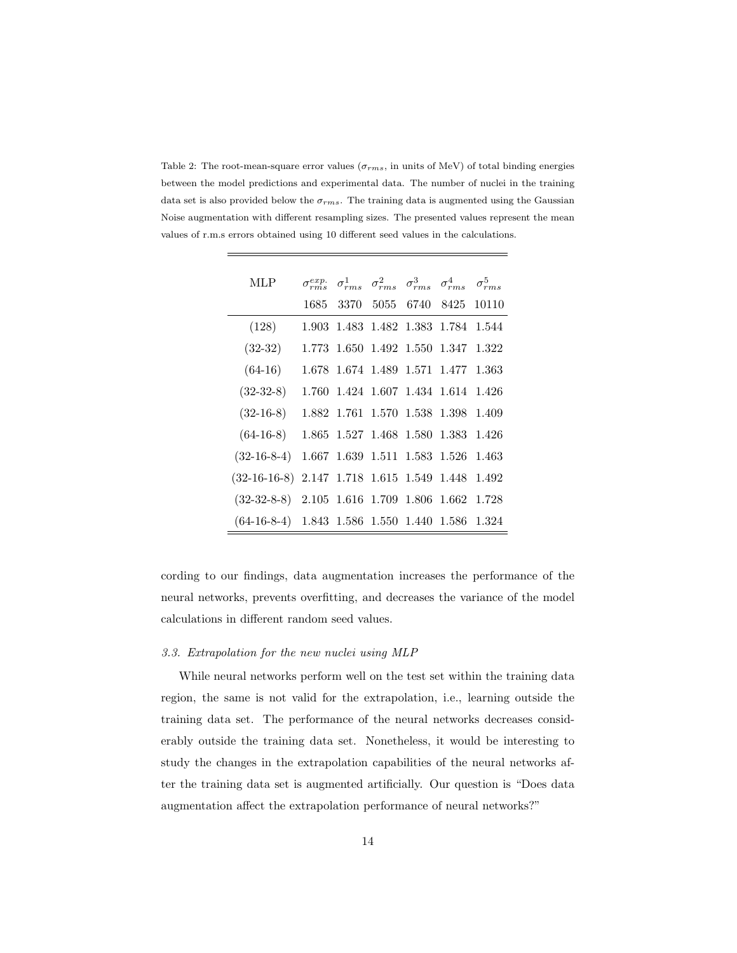<span id="page-13-0"></span>Table 2: The root-mean-square error values ( $\sigma_{rms}$ , in units of MeV) of total binding energies between the model predictions and experimental data. The number of nuclei in the training data set is also provided below the  $\sigma_{rms}$ . The training data is augmented using the Gaussian Noise augmentation with different resampling sizes. The presented values represent the mean values of r.m.s errors obtained using 10 different seed values in the calculations.

| MLP                                               |  |  | $\sigma^{exp.}_{rms}$ $\sigma^{1}_{rms}$ $\sigma^{2}_{rms}$ $\sigma^{3}_{rms}$ $\sigma^{4}_{rms}$ $\sigma^{5}_{rms}$ |  |
|---------------------------------------------------|--|--|----------------------------------------------------------------------------------------------------------------------|--|
|                                                   |  |  | 1685 3370 5055 6740 8425 10110                                                                                       |  |
| (128)                                             |  |  | 1.903 1.483 1.482 1.383 1.784 1.544                                                                                  |  |
| $(32-32)$                                         |  |  | 1.773 1.650 1.492 1.550 1.347 1.322                                                                                  |  |
| $(64-16)$                                         |  |  | 1.678 1.674 1.489 1.571 1.477 1.363                                                                                  |  |
| $(32-32-8)$                                       |  |  | 1.760 1.424 1.607 1.434 1.614 1.426                                                                                  |  |
| $(32-16-8)$                                       |  |  | 1.882 1.761 1.570 1.538 1.398 1.409                                                                                  |  |
| $(64-16-8)$ 1.865 1.527 1.468 1.580 1.383 1.426   |  |  |                                                                                                                      |  |
| $(32-16-8-4)$ 1.667 1.639 1.511 1.583 1.526 1.463 |  |  |                                                                                                                      |  |
| $(32-16-16-8)$                                    |  |  | 2.147 1.718 1.615 1.549 1.448 1.492                                                                                  |  |
| $(32-32-8-8)$ 2.105 1.616 1.709 1.806 1.662 1.728 |  |  |                                                                                                                      |  |
| $(64-16-8-4)$ 1.843 1.586 1.550 1.440 1.586 1.324 |  |  |                                                                                                                      |  |

cording to our findings, data augmentation increases the performance of the neural networks, prevents overfitting, and decreases the variance of the model calculations in different random seed values.

# 3.3. Extrapolation for the new nuclei using MLP

While neural networks perform well on the test set within the training data region, the same is not valid for the extrapolation, i.e., learning outside the training data set. The performance of the neural networks decreases considerably outside the training data set. Nonetheless, it would be interesting to study the changes in the extrapolation capabilities of the neural networks after the training data set is augmented artificially. Our question is "Does data augmentation affect the extrapolation performance of neural networks?"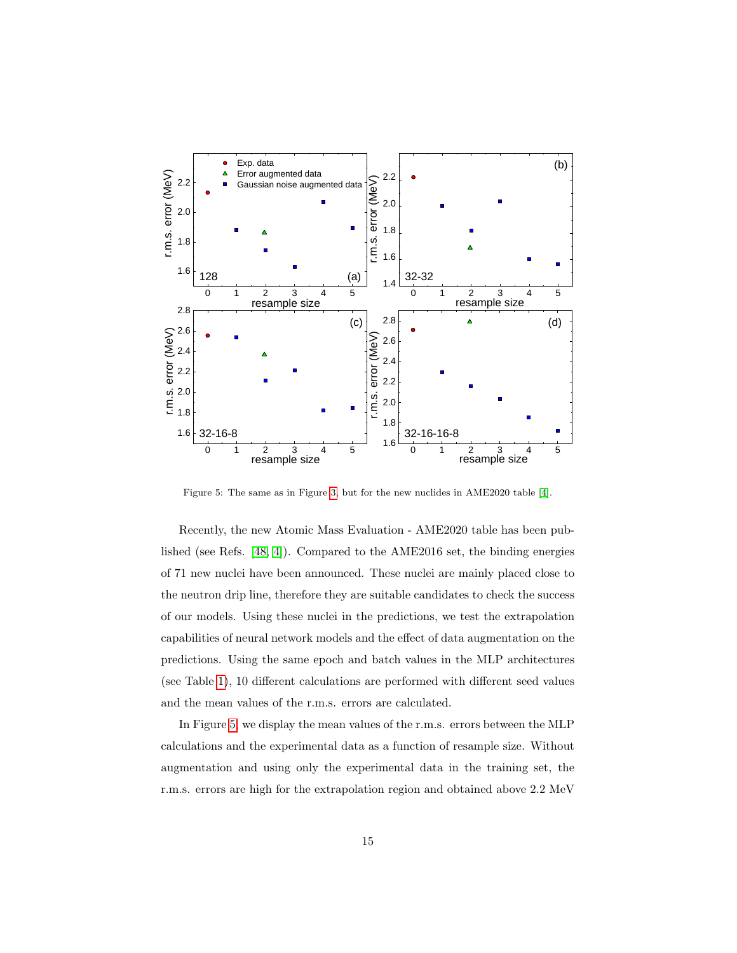

<span id="page-14-0"></span>Figure 5: The same as in Figure [3,](#page-11-0) but for the new nuclides in AME2020 table [\[4\]](#page-21-0).

Recently, the new Atomic Mass Evaluation - AME2020 table has been published (see Refs. [\[48,](#page-25-5) [4\]](#page-21-0)). Compared to the AME2016 set, the binding energies of 71 new nuclei have been announced. These nuclei are mainly placed close to the neutron drip line, therefore they are suitable candidates to check the success of our models. Using these nuclei in the predictions, we test the extrapolation capabilities of neural network models and the effect of data augmentation on the predictions. Using the same epoch and batch values in the MLP architectures (see Table [1\)](#page-10-0), 10 different calculations are performed with different seed values and the mean values of the r.m.s. errors are calculated.

In Figure [5,](#page-14-0) we display the mean values of the r.m.s. errors between the MLP calculations and the experimental data as a function of resample size. Without augmentation and using only the experimental data in the training set, the r.m.s. errors are high for the extrapolation region and obtained above 2.2 MeV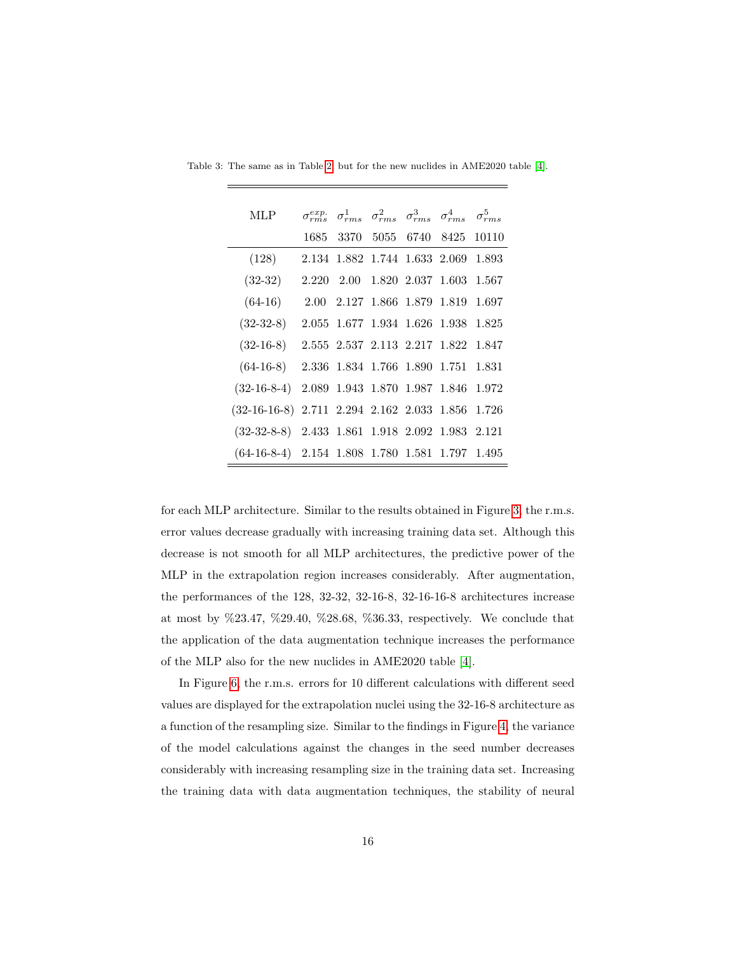| MLP.                                               |  |  | $\sigma^{exp.}_{rms}$ $\sigma^{1}_{rms}$ $\sigma^{2}_{rms}$ $\sigma^{3}_{rms}$ $\sigma^{4}_{rms}$ $\sigma^{5}_{rms}$ |  |
|----------------------------------------------------|--|--|----------------------------------------------------------------------------------------------------------------------|--|
|                                                    |  |  | 1685 3370 5055 6740 8425 10110                                                                                       |  |
| (128)                                              |  |  | 2.134 1.882 1.744 1.633 2.069 1.893                                                                                  |  |
| $(32-32)$                                          |  |  | 2.220 2.00 1.820 2.037 1.603 1.567                                                                                   |  |
| $(64-16)$                                          |  |  | 2.00 2.127 1.866 1.879 1.819 1.697                                                                                   |  |
| $(32-32-8)$                                        |  |  | 2.055 1.677 1.934 1.626 1.938 1.825                                                                                  |  |
| $(32-16-8)$                                        |  |  | 2.555 2.537 2.113 2.217 1.822 1.847                                                                                  |  |
| $(64-16-8)$ 2.336 1.834 1.766 1.890 1.751 1.831    |  |  |                                                                                                                      |  |
| $(32-16-8-4)$ 2.089 1.943 1.870 1.987 1.846 1.972  |  |  |                                                                                                                      |  |
| $(32-16-16-8)$ 2.711 2.294 2.162 2.033 1.856 1.726 |  |  |                                                                                                                      |  |
| $(32-32-8-8)$ 2.433 1.861 1.918 2.092 1.983 2.121  |  |  |                                                                                                                      |  |
| $(64-16-8-4)$ 2.154 1.808 1.780 1.581 1.797 1.495  |  |  |                                                                                                                      |  |

Table 3: The same as in Table [2,](#page-13-0) but for the new nuclides in AME2020 table [\[4\]](#page-21-0).

for each MLP architecture. Similar to the results obtained in Figure [3,](#page-11-0) the r.m.s. error values decrease gradually with increasing training data set. Although this decrease is not smooth for all MLP architectures, the predictive power of the MLP in the extrapolation region increases considerably. After augmentation, the performances of the 128, 32-32, 32-16-8, 32-16-16-8 architectures increase at most by %23.47, %29.40, %28.68, %36.33, respectively. We conclude that the application of the data augmentation technique increases the performance of the MLP also for the new nuclides in AME2020 table [\[4\]](#page-21-0).

In Figure [6,](#page-16-1) the r.m.s. errors for 10 different calculations with different seed values are displayed for the extrapolation nuclei using the 32-16-8 architecture as a function of the resampling size. Similar to the findings in Figure [4,](#page-12-0) the variance of the model calculations against the changes in the seed number decreases considerably with increasing resampling size in the training data set. Increasing the training data with data augmentation techniques, the stability of neural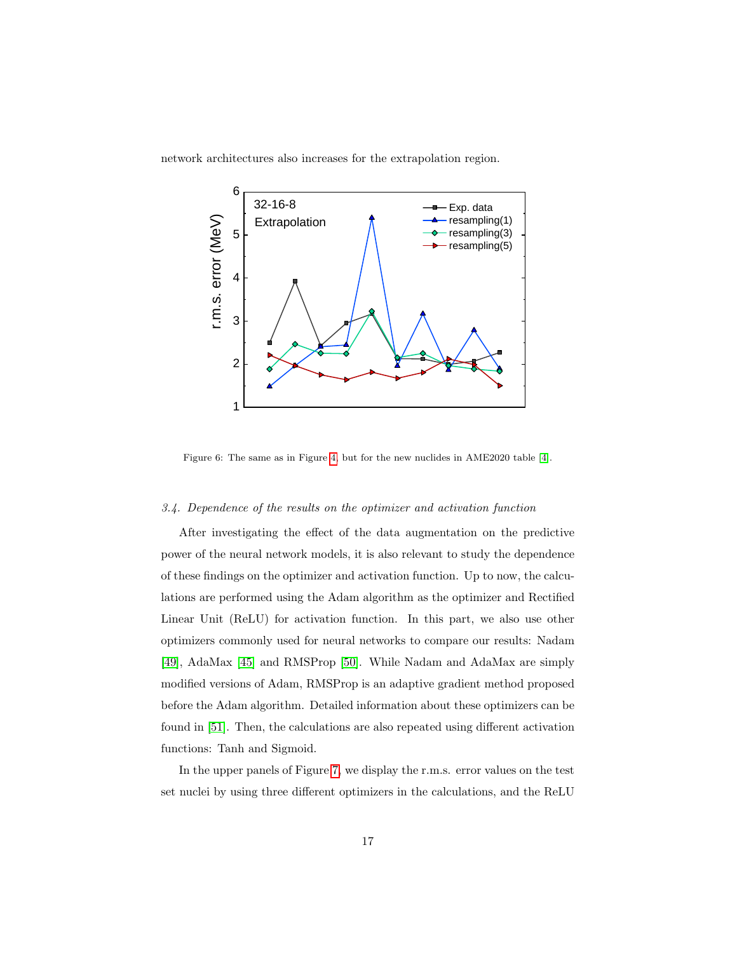network architectures also increases for the extrapolation region.



<span id="page-16-1"></span>Figure 6: The same as in Figure [4,](#page-12-0) but for the new nuclides in AME2020 table [\[4\]](#page-21-0).

# <span id="page-16-0"></span>3.4. Dependence of the results on the optimizer and activation function

After investigating the effect of the data augmentation on the predictive power of the neural network models, it is also relevant to study the dependence of these findings on the optimizer and activation function. Up to now, the calculations are performed using the Adam algorithm as the optimizer and Rectified Linear Unit (ReLU) for activation function. In this part, we also use other optimizers commonly used for neural networks to compare our results: Nadam [\[49\]](#page-25-6), AdaMax [\[45\]](#page-25-2) and RMSProp [\[50\]](#page-25-7). While Nadam and AdaMax are simply modified versions of Adam, RMSProp is an adaptive gradient method proposed before the Adam algorithm. Detailed information about these optimizers can be found in [\[51\]](#page-25-8). Then, the calculations are also repeated using different activation functions: Tanh and Sigmoid.

In the upper panels of Figure [7,](#page-17-0) we display the r.m.s. error values on the test set nuclei by using three different optimizers in the calculations, and the ReLU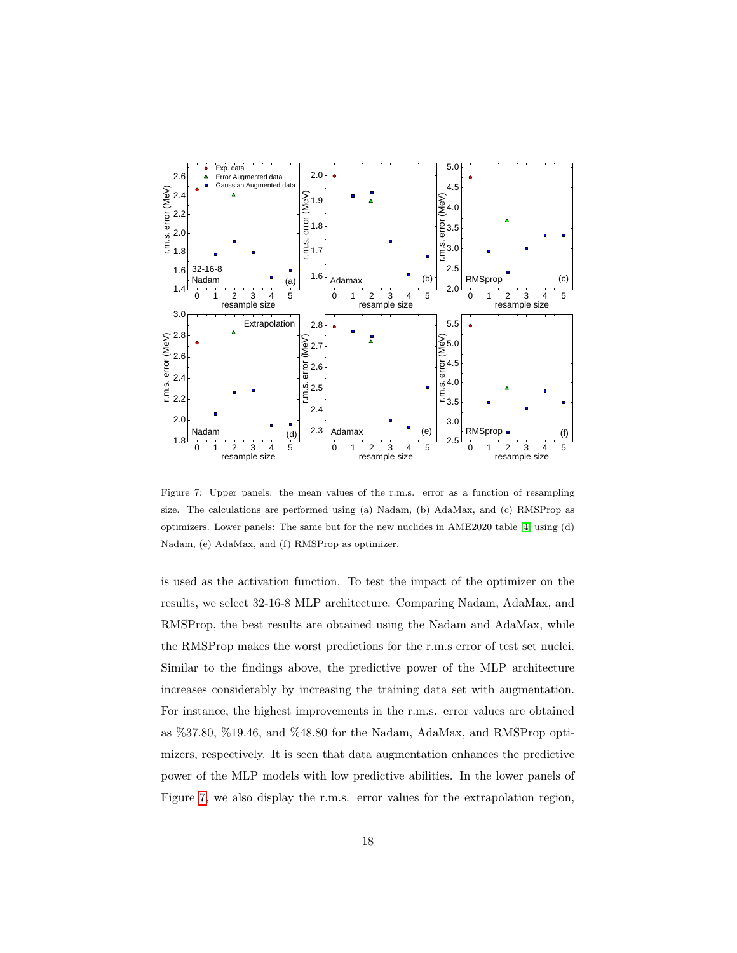

<span id="page-17-0"></span>Figure 7: Upper panels: the mean values of the r.m.s. error as a function of resampling size. The calculations are performed using (a) Nadam, (b) AdaMax, and (c) RMSProp as optimizers. Lower panels: The same but for the new nuclides in AME2020 table [\[4\]](#page-21-0) using (d) Nadam, (e) AdaMax, and (f) RMSProp as optimizer.

is used as the activation function. To test the impact of the optimizer on the results, we select 32-16-8 MLP architecture. Comparing Nadam, AdaMax, and RMSProp, the best results are obtained using the Nadam and AdaMax, while the RMSProp makes the worst predictions for the r.m.s error of test set nuclei. Similar to the findings above, the predictive power of the MLP architecture increases considerably by increasing the training data set with augmentation. For instance, the highest improvements in the r.m.s. error values are obtained as %37.80, %19.46, and %48.80 for the Nadam, AdaMax, and RMSProp optimizers, respectively. It is seen that data augmentation enhances the predictive power of the MLP models with low predictive abilities. In the lower panels of Figure [7,](#page-17-0) we also display the r.m.s. error values for the extrapolation region,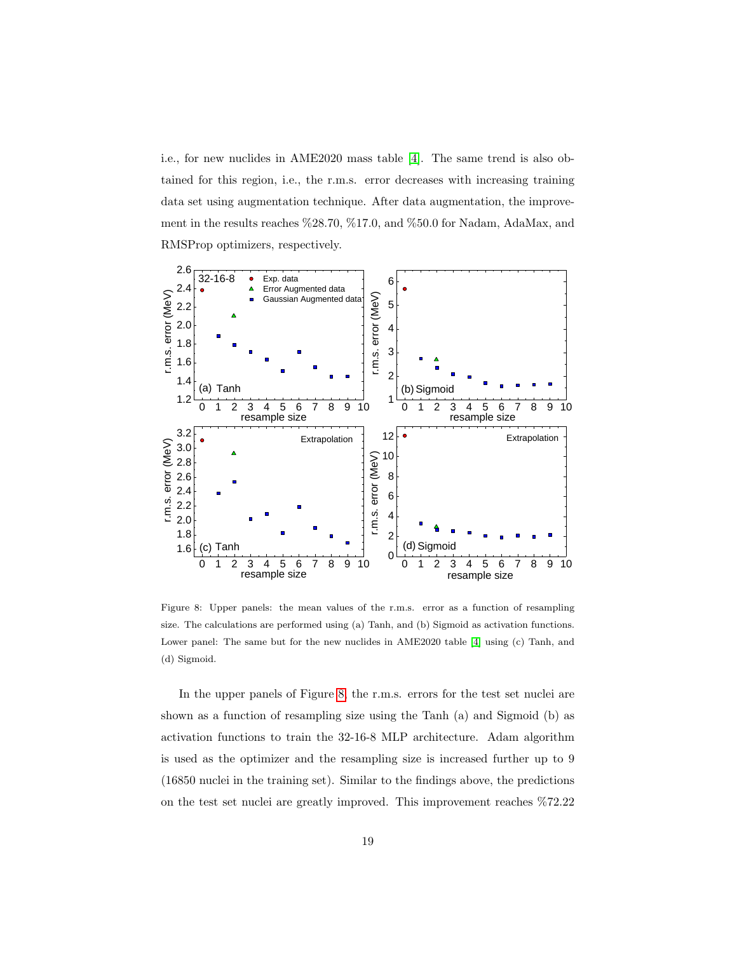i.e., for new nuclides in AME2020 mass table [\[4\]](#page-21-0). The same trend is also obtained for this region, i.e., the r.m.s. error decreases with increasing training data set using augmentation technique. After data augmentation, the improvement in the results reaches %28.70, %17.0, and %50.0 for Nadam, AdaMax, and RMSProp optimizers, respectively.



<span id="page-18-0"></span>Figure 8: Upper panels: the mean values of the r.m.s. error as a function of resampling size. The calculations are performed using (a) Tanh, and (b) Sigmoid as activation functions. Lower panel: The same but for the new nuclides in AME2020 table [\[4\]](#page-21-0) using (c) Tanh, and (d) Sigmoid.

In the upper panels of Figure [8,](#page-18-0) the r.m.s. errors for the test set nuclei are shown as a function of resampling size using the Tanh (a) and Sigmoid (b) as activation functions to train the 32-16-8 MLP architecture. Adam algorithm is used as the optimizer and the resampling size is increased further up to 9 (16850 nuclei in the training set). Similar to the findings above, the predictions on the test set nuclei are greatly improved. This improvement reaches %72.22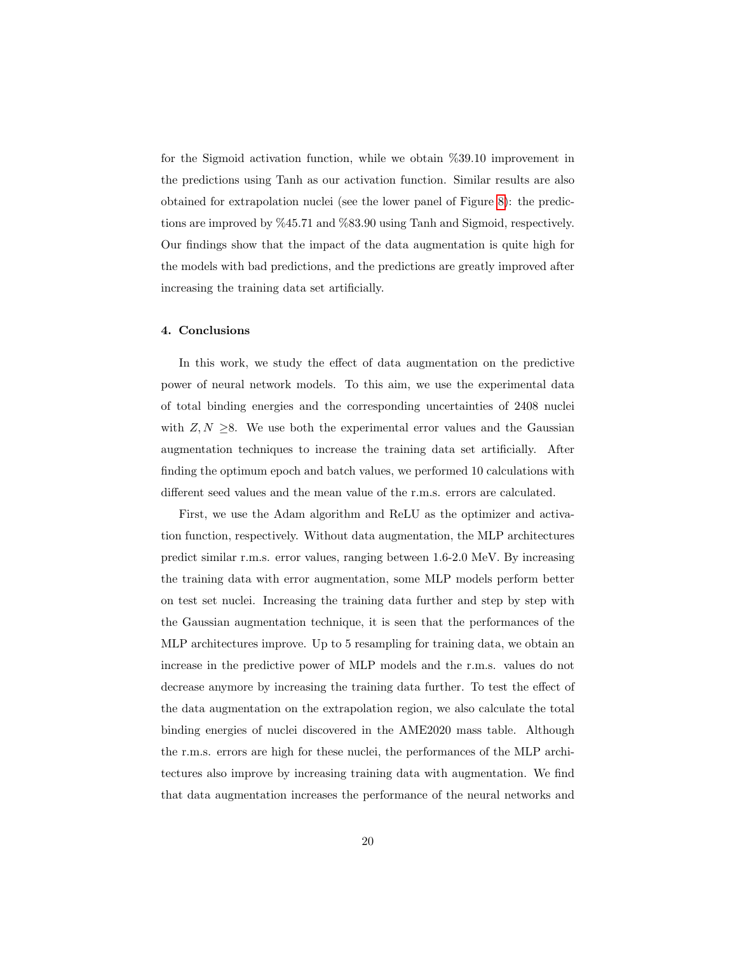for the Sigmoid activation function, while we obtain %39.10 improvement in the predictions using Tanh as our activation function. Similar results are also obtained for extrapolation nuclei (see the lower panel of Figure [8\)](#page-18-0): the predictions are improved by %45.71 and %83.90 using Tanh and Sigmoid, respectively. Our findings show that the impact of the data augmentation is quite high for the models with bad predictions, and the predictions are greatly improved after increasing the training data set artificially.

## 4. Conclusions

In this work, we study the effect of data augmentation on the predictive power of neural network models. To this aim, we use the experimental data of total binding energies and the corresponding uncertainties of 2408 nuclei with  $Z, N \geq 8$ . We use both the experimental error values and the Gaussian augmentation techniques to increase the training data set artificially. After finding the optimum epoch and batch values, we performed 10 calculations with different seed values and the mean value of the r.m.s. errors are calculated.

First, we use the Adam algorithm and ReLU as the optimizer and activation function, respectively. Without data augmentation, the MLP architectures predict similar r.m.s. error values, ranging between 1.6-2.0 MeV. By increasing the training data with error augmentation, some MLP models perform better on test set nuclei. Increasing the training data further and step by step with the Gaussian augmentation technique, it is seen that the performances of the MLP architectures improve. Up to 5 resampling for training data, we obtain an increase in the predictive power of MLP models and the r.m.s. values do not decrease anymore by increasing the training data further. To test the effect of the data augmentation on the extrapolation region, we also calculate the total binding energies of nuclei discovered in the AME2020 mass table. Although the r.m.s. errors are high for these nuclei, the performances of the MLP architectures also improve by increasing training data with augmentation. We find that data augmentation increases the performance of the neural networks and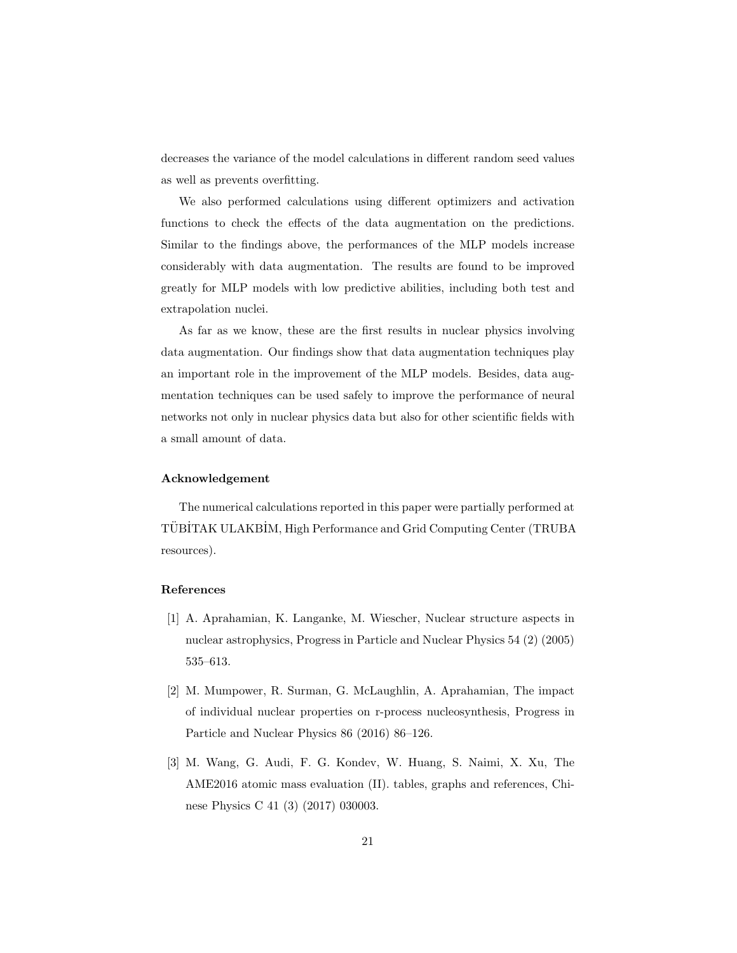decreases the variance of the model calculations in different random seed values as well as prevents overfitting.

We also performed calculations using different optimizers and activation functions to check the effects of the data augmentation on the predictions. Similar to the findings above, the performances of the MLP models increase considerably with data augmentation. The results are found to be improved greatly for MLP models with low predictive abilities, including both test and extrapolation nuclei.

As far as we know, these are the first results in nuclear physics involving data augmentation. Our findings show that data augmentation techniques play an important role in the improvement of the MLP models. Besides, data augmentation techniques can be used safely to improve the performance of neural networks not only in nuclear physics data but also for other scientific fields with a small amount of data.

# Acknowledgement

The numerical calculations reported in this paper were partially performed at TÜBİTAK ULAKBİM, High Performance and Grid Computing Center (TRUBA resources).

# References

- <span id="page-20-0"></span>[1] A. Aprahamian, K. Langanke, M. Wiescher, Nuclear structure aspects in nuclear astrophysics, Progress in Particle and Nuclear Physics 54 (2) (2005) 535–613.
- <span id="page-20-1"></span>[2] M. Mumpower, R. Surman, G. McLaughlin, A. Aprahamian, The impact of individual nuclear properties on r-process nucleosynthesis, Progress in Particle and Nuclear Physics 86 (2016) 86–126.
- <span id="page-20-2"></span>[3] M. Wang, G. Audi, F. G. Kondev, W. Huang, S. Naimi, X. Xu, The AME2016 atomic mass evaluation (II). tables, graphs and references, Chinese Physics C 41 (3) (2017) 030003.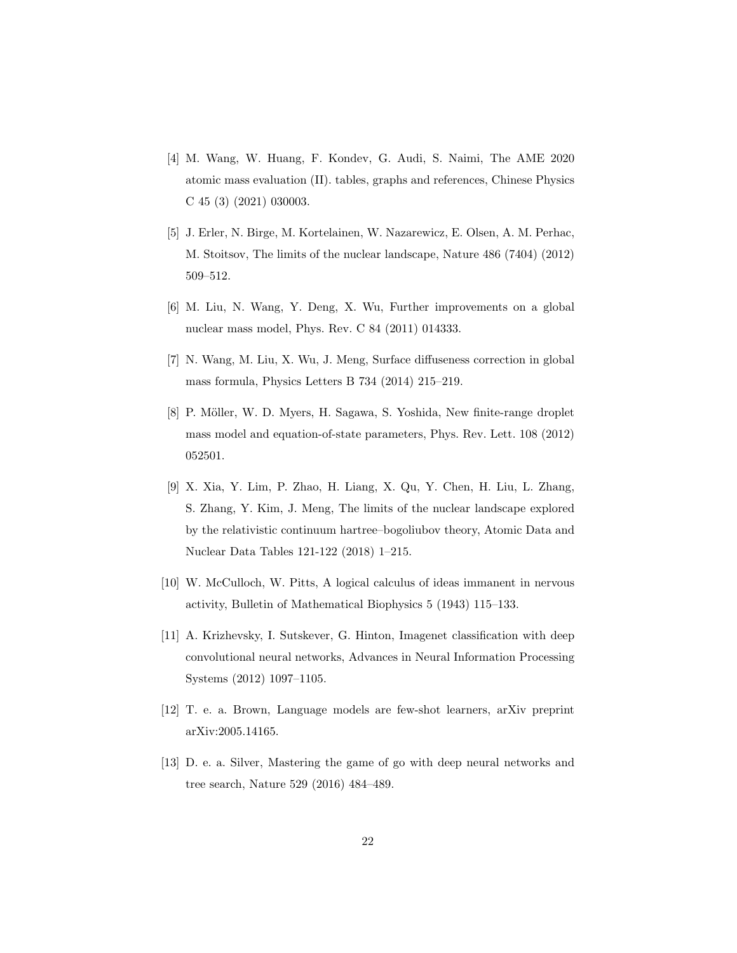- <span id="page-21-0"></span>[4] M. Wang, W. Huang, F. Kondev, G. Audi, S. Naimi, The AME 2020 atomic mass evaluation (II). tables, graphs and references, Chinese Physics C 45 (3) (2021) 030003.
- <span id="page-21-1"></span>[5] J. Erler, N. Birge, M. Kortelainen, W. Nazarewicz, E. Olsen, A. M. Perhac, M. Stoitsov, The limits of the nuclear landscape, Nature 486 (7404) (2012) 509–512.
- <span id="page-21-2"></span>[6] M. Liu, N. Wang, Y. Deng, X. Wu, Further improvements on a global nuclear mass model, Phys. Rev. C 84 (2011) 014333.
- <span id="page-21-3"></span>[7] N. Wang, M. Liu, X. Wu, J. Meng, Surface diffuseness correction in global mass formula, Physics Letters B 734 (2014) 215–219.
- <span id="page-21-4"></span>[8] P. Möller, W. D. Myers, H. Sagawa, S. Yoshida, New finite-range droplet mass model and equation-of-state parameters, Phys. Rev. Lett. 108 (2012) 052501.
- <span id="page-21-5"></span>[9] X. Xia, Y. Lim, P. Zhao, H. Liang, X. Qu, Y. Chen, H. Liu, L. Zhang, S. Zhang, Y. Kim, J. Meng, The limits of the nuclear landscape explored by the relativistic continuum hartree–bogoliubov theory, Atomic Data and Nuclear Data Tables 121-122 (2018) 1–215.
- <span id="page-21-6"></span>[10] W. McCulloch, W. Pitts, A logical calculus of ideas immanent in nervous activity, Bulletin of Mathematical Biophysics 5 (1943) 115–133.
- <span id="page-21-7"></span>[11] A. Krizhevsky, I. Sutskever, G. Hinton, Imagenet classification with deep convolutional neural networks, Advances in Neural Information Processing Systems (2012) 1097–1105.
- <span id="page-21-8"></span>[12] T. e. a. Brown, Language models are few-shot learners, arXiv preprint arXiv:2005.14165.
- <span id="page-21-9"></span>[13] D. e. a. Silver, Mastering the game of go with deep neural networks and tree search, Nature 529 (2016) 484–489.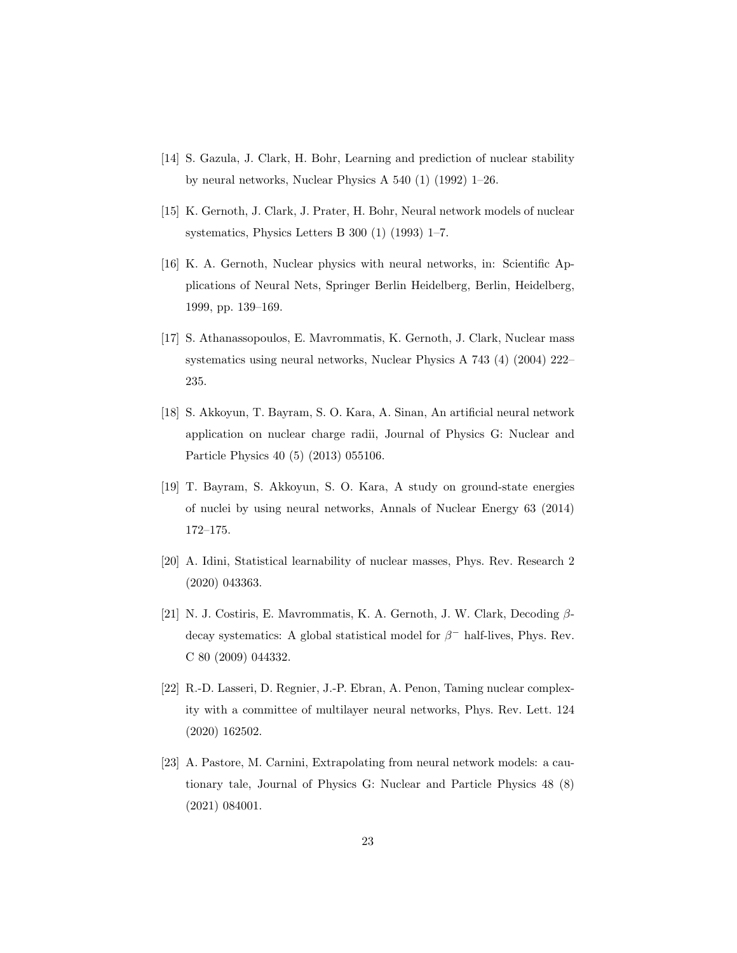- <span id="page-22-0"></span>[14] S. Gazula, J. Clark, H. Bohr, Learning and prediction of nuclear stability by neural networks, Nuclear Physics A 540 (1) (1992) 1–26.
- <span id="page-22-1"></span>[15] K. Gernoth, J. Clark, J. Prater, H. Bohr, Neural network models of nuclear systematics, Physics Letters B 300 (1) (1993) 1–7.
- <span id="page-22-2"></span>[16] K. A. Gernoth, Nuclear physics with neural networks, in: Scientific Applications of Neural Nets, Springer Berlin Heidelberg, Berlin, Heidelberg, 1999, pp. 139–169.
- <span id="page-22-3"></span>[17] S. Athanassopoulos, E. Mavrommatis, K. Gernoth, J. Clark, Nuclear mass systematics using neural networks, Nuclear Physics A 743 (4) (2004) 222– 235.
- <span id="page-22-4"></span>[18] S. Akkoyun, T. Bayram, S. O. Kara, A. Sinan, An artificial neural network application on nuclear charge radii, Journal of Physics G: Nuclear and Particle Physics 40 (5) (2013) 055106.
- <span id="page-22-5"></span>[19] T. Bayram, S. Akkoyun, S. O. Kara, A study on ground-state energies of nuclei by using neural networks, Annals of Nuclear Energy 63 (2014) 172–175.
- <span id="page-22-6"></span>[20] A. Idini, Statistical learnability of nuclear masses, Phys. Rev. Research 2 (2020) 043363.
- <span id="page-22-7"></span>[21] N. J. Costiris, E. Mavrommatis, K. A. Gernoth, J. W. Clark, Decoding  $\beta$ decay systematics: A global statistical model for  $\beta^-$  half-lives, Phys. Rev. C 80 (2009) 044332.
- <span id="page-22-8"></span>[22] R.-D. Lasseri, D. Regnier, J.-P. Ebran, A. Penon, Taming nuclear complexity with a committee of multilayer neural networks, Phys. Rev. Lett. 124 (2020) 162502.
- <span id="page-22-9"></span>[23] A. Pastore, M. Carnini, Extrapolating from neural network models: a cautionary tale, Journal of Physics G: Nuclear and Particle Physics 48 (8) (2021) 084001.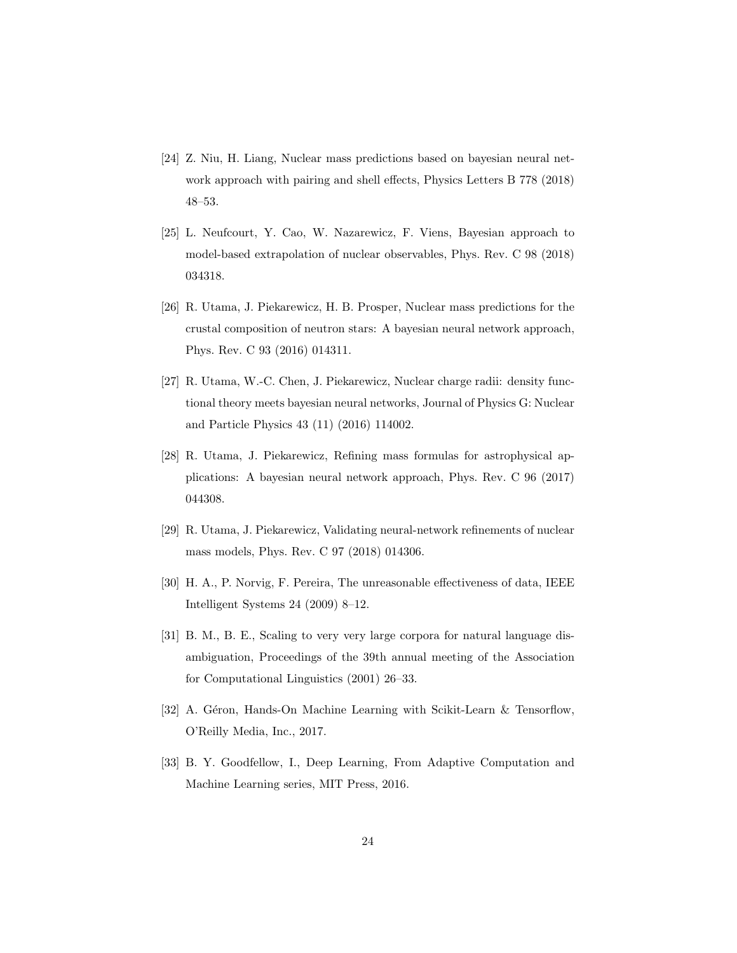- <span id="page-23-0"></span>[24] Z. Niu, H. Liang, Nuclear mass predictions based on bayesian neural network approach with pairing and shell effects, Physics Letters B 778 (2018) 48–53.
- <span id="page-23-1"></span>[25] L. Neufcourt, Y. Cao, W. Nazarewicz, F. Viens, Bayesian approach to model-based extrapolation of nuclear observables, Phys. Rev. C 98 (2018) 034318.
- <span id="page-23-2"></span>[26] R. Utama, J. Piekarewicz, H. B. Prosper, Nuclear mass predictions for the crustal composition of neutron stars: A bayesian neural network approach, Phys. Rev. C 93 (2016) 014311.
- <span id="page-23-3"></span>[27] R. Utama, W.-C. Chen, J. Piekarewicz, Nuclear charge radii: density functional theory meets bayesian neural networks, Journal of Physics G: Nuclear and Particle Physics 43 (11) (2016) 114002.
- <span id="page-23-4"></span>[28] R. Utama, J. Piekarewicz, Refining mass formulas for astrophysical applications: A bayesian neural network approach, Phys. Rev. C 96 (2017) 044308.
- <span id="page-23-5"></span>[29] R. Utama, J. Piekarewicz, Validating neural-network refinements of nuclear mass models, Phys. Rev. C 97 (2018) 014306.
- <span id="page-23-6"></span>[30] H. A., P. Norvig, F. Pereira, The unreasonable effectiveness of data, IEEE Intelligent Systems 24 (2009) 8–12.
- <span id="page-23-7"></span>[31] B. M., B. E., Scaling to very very large corpora for natural language disambiguation, Proceedings of the 39th annual meeting of the Association for Computational Linguistics (2001) 26–33.
- <span id="page-23-8"></span>[32] A. Géron, Hands-On Machine Learning with Scikit-Learn & Tensorflow, O'Reilly Media, Inc., 2017.
- <span id="page-23-9"></span>[33] B. Y. Goodfellow, I., Deep Learning, From Adaptive Computation and Machine Learning series, MIT Press, 2016.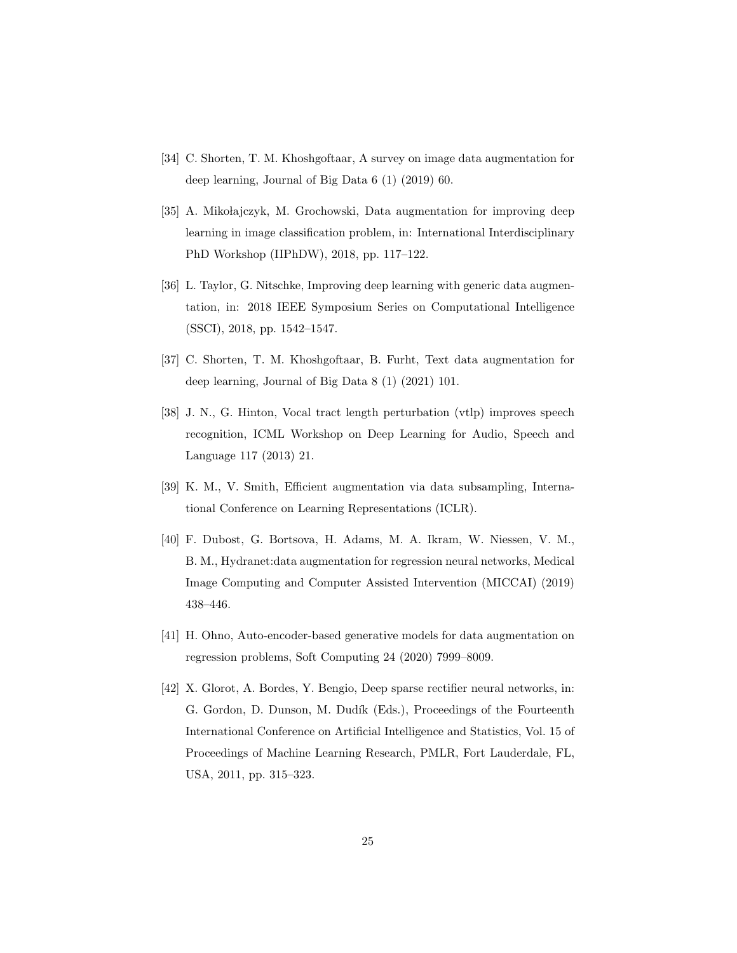- <span id="page-24-0"></span>[34] C. Shorten, T. M. Khoshgoftaar, A survey on image data augmentation for deep learning, Journal of Big Data 6 (1) (2019) 60.
- <span id="page-24-1"></span>[35] A. Mikołajczyk, M. Grochowski, Data augmentation for improving deep learning in image classification problem, in: International Interdisciplinary PhD Workshop (IIPhDW), 2018, pp. 117–122.
- <span id="page-24-2"></span>[36] L. Taylor, G. Nitschke, Improving deep learning with generic data augmentation, in: 2018 IEEE Symposium Series on Computational Intelligence (SSCI), 2018, pp. 1542–1547.
- <span id="page-24-3"></span>[37] C. Shorten, T. M. Khoshgoftaar, B. Furht, Text data augmentation for deep learning, Journal of Big Data 8 (1) (2021) 101.
- <span id="page-24-4"></span>[38] J. N., G. Hinton, Vocal tract length perturbation (vtlp) improves speech recognition, ICML Workshop on Deep Learning for Audio, Speech and Language 117 (2013) 21.
- <span id="page-24-5"></span>[39] K. M., V. Smith, Efficient augmentation via data subsampling, International Conference on Learning Representations (ICLR).
- <span id="page-24-6"></span>[40] F. Dubost, G. Bortsova, H. Adams, M. A. Ikram, W. Niessen, V. M., B. M., Hydranet:data augmentation for regression neural networks, Medical Image Computing and Computer Assisted Intervention (MICCAI) (2019) 438–446.
- <span id="page-24-7"></span>[41] H. Ohno, Auto-encoder-based generative models for data augmentation on regression problems, Soft Computing 24 (2020) 7999–8009.
- <span id="page-24-8"></span>[42] X. Glorot, A. Bordes, Y. Bengio, Deep sparse rectifier neural networks, in: G. Gordon, D. Dunson, M. Dudík (Eds.), Proceedings of the Fourteenth International Conference on Artificial Intelligence and Statistics, Vol. 15 of Proceedings of Machine Learning Research, PMLR, Fort Lauderdale, FL, USA, 2011, pp. 315–323.